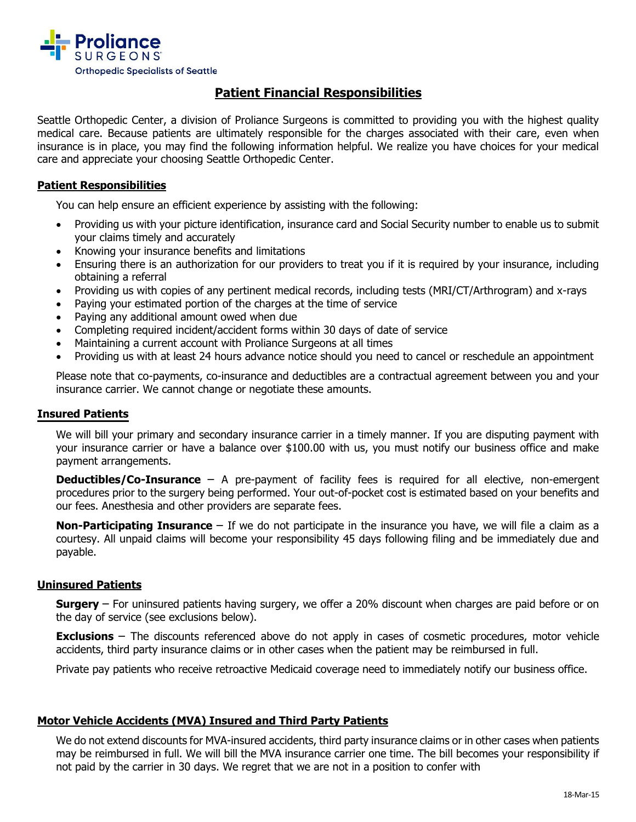

# **Patient Financial Responsibilities**

Seattle Orthopedic Center, a division of Proliance Surgeons is committed to providing you with the highest quality medical care. Because patients are ultimately responsible for the charges associated with their care, even when insurance is in place, you may find the following information helpful. We realize you have choices for your medical care and appreciate your choosing Seattle Orthopedic Center.

## **Patient Responsibilities**

You can help ensure an efficient experience by assisting with the following:

- Providing us with your picture identification, insurance card and Social Security number to enable us to submit your claims timely and accurately
- Knowing your insurance benefits and limitations
- Ensuring there is an authorization for our providers to treat you if it is required by your insurance, including obtaining a referral
- Providing us with copies of any pertinent medical records, including tests (MRI/CT/Arthrogram) and x-rays
- Paying your estimated portion of the charges at the time of service
- Paying any additional amount owed when due
- Completing required incident/accident forms within 30 days of date of service
- Maintaining a current account with Proliance Surgeons at all times
- Providing us with at least 24 hours advance notice should you need to cancel or reschedule an appointment

Please note that co-payments, co-insurance and deductibles are a contractual agreement between you and your insurance carrier. We cannot change or negotiate these amounts.

## **Insured Patients**

We will bill your primary and secondary insurance carrier in a timely manner. If you are disputing payment with your insurance carrier or have a balance over \$100.00 with us, you must notify our business office and make payment arrangements.

**Deductibles/Co-Insurance** – A pre-payment of facility fees is required for all elective, non-emergent procedures prior to the surgery being performed. Your out-of-pocket cost is estimated based on your benefits and our fees. Anesthesia and other providers are separate fees.

**Non-Participating Insurance** – If we do not participate in the insurance you have, we will file a claim as a courtesy. All unpaid claims will become your responsibility 45 days following filing and be immediately due and payable.

## **Uninsured Patients**

**Surgery** – For uninsured patients having surgery, we offer a 20% discount when charges are paid before or on the day of service (see exclusions below).

**Exclusions** – The discounts referenced above do not apply in cases of cosmetic procedures, motor vehicle accidents, third party insurance claims or in other cases when the patient may be reimbursed in full.

Private pay patients who receive retroactive Medicaid coverage need to immediately notify our business office.

#### **Motor Vehicle Accidents (MVA) Insured and Third Party Patients**

We do not extend discounts for MVA-insured accidents, third party insurance claims or in other cases when patients may be reimbursed in full. We will bill the MVA insurance carrier one time. The bill becomes your responsibility if not paid by the carrier in 30 days. We regret that we are not in a position to confer with